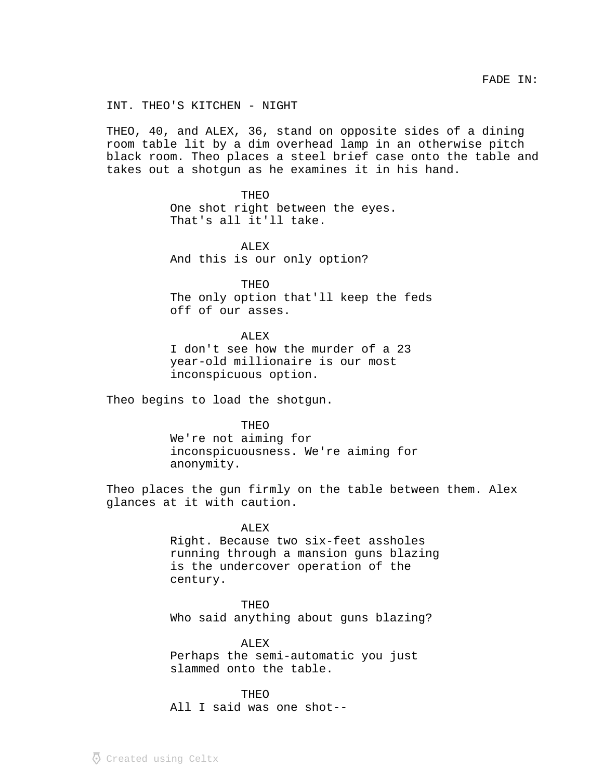INT. THEO'S KITCHEN - NIGHT

THEO, 40, and ALEX, 36, stand on opposite sides of a dining room table lit by a dim overhead lamp in an otherwise pitch black room. Theo places a steel brief case onto the table and takes out a shotgun as he examines it in his hand.

> THEO One shot right between the eyes. That's all it'll take.

ALEX And this is our only option?

THEO The only option that'll keep the feds off of our asses.

**ALEX** I don't see how the murder of a 23 year-old millionaire is our most inconspicuous option.

Theo begins to load the shotgun.

THEO We're not aiming for inconspicuousness. We're aiming for anonymity.

Theo places the gun firmly on the table between them. Alex glances at it with caution.

> ALEX Right. Because two six-feet assholes running through a mansion guns blazing is the undercover operation of the century.

THEO Who said anything about guns blazing?

ALEX Perhaps the semi-automatic you just slammed onto the table.

THEO All I said was one shot--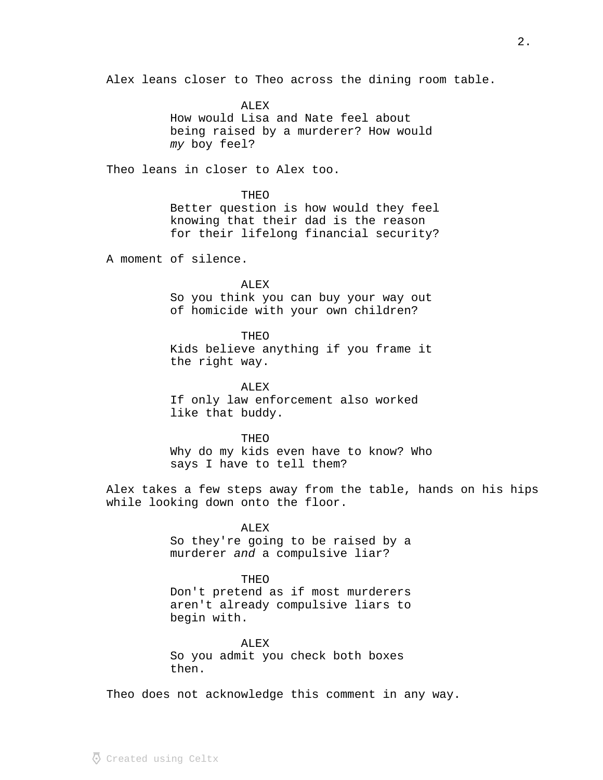Alex leans closer to Theo across the dining room table.

ALEX How would Lisa and Nate feel about being raised by a murderer? How would boy feel? my

Theo leans in closer to Alex too.

THEO

Better question is how would they feel knowing that their dad is the reason for their lifelong financial security?

A moment of silence.

ALEX So you think you can buy your way out of homicide with your own children?

**THEO** Kids believe anything if you frame it the right way.

ALEX If only law enforcement also worked like that buddy.

THEO Why do my kids even have to know? Who says I have to tell them?

Alex takes a few steps away from the table, hands on his hips while looking down onto the floor.

> **ALEX** So they're going to be raised by a murderer and a compulsive liar?

## THEO

Don't pretend as if most murderers aren't already compulsive liars to begin with.

ALEX So you admit you check both boxes then.

Theo does not acknowledge this comment in any way.